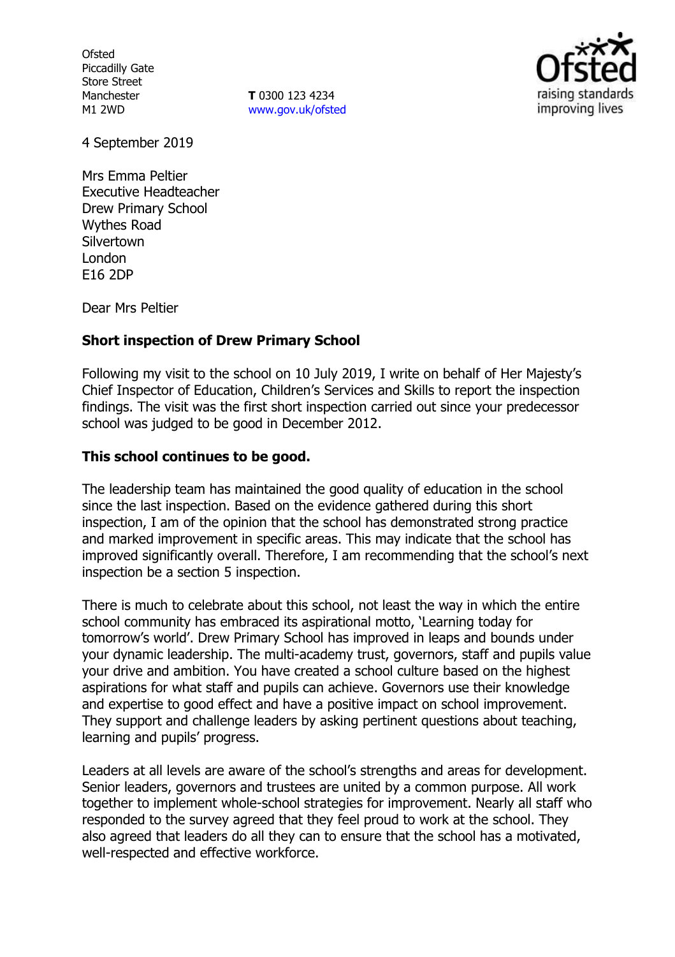**Ofsted** Piccadilly Gate Store Street Manchester M1 2WD

**T** 0300 123 4234 www.gov.uk/ofsted



4 September 2019

Mrs Emma Peltier Executive Headteacher Drew Primary School Wythes Road **Silvertown** London E16 2DP

Dear Mrs Peltier

# **Short inspection of Drew Primary School**

Following my visit to the school on 10 July 2019, I write on behalf of Her Majesty's Chief Inspector of Education, Children's Services and Skills to report the inspection findings. The visit was the first short inspection carried out since your predecessor school was judged to be good in December 2012.

# **This school continues to be good.**

The leadership team has maintained the good quality of education in the school since the last inspection. Based on the evidence gathered during this short inspection, I am of the opinion that the school has demonstrated strong practice and marked improvement in specific areas. This may indicate that the school has improved significantly overall. Therefore, I am recommending that the school's next inspection be a section 5 inspection.

There is much to celebrate about this school, not least the way in which the entire school community has embraced its aspirational motto, 'Learning today for tomorrow's world'. Drew Primary School has improved in leaps and bounds under your dynamic leadership. The multi-academy trust, governors, staff and pupils value your drive and ambition. You have created a school culture based on the highest aspirations for what staff and pupils can achieve. Governors use their knowledge and expertise to good effect and have a positive impact on school improvement. They support and challenge leaders by asking pertinent questions about teaching, learning and pupils' progress.

Leaders at all levels are aware of the school's strengths and areas for development. Senior leaders, governors and trustees are united by a common purpose. All work together to implement whole-school strategies for improvement. Nearly all staff who responded to the survey agreed that they feel proud to work at the school. They also agreed that leaders do all they can to ensure that the school has a motivated, well-respected and effective workforce.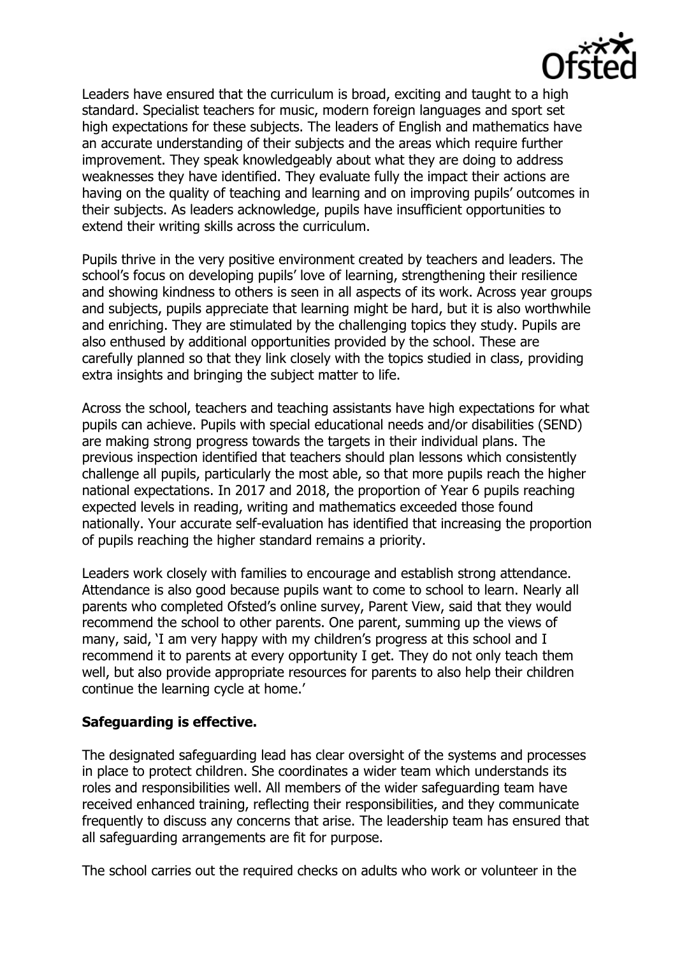

Leaders have ensured that the curriculum is broad, exciting and taught to a high standard. Specialist teachers for music, modern foreign languages and sport set high expectations for these subjects. The leaders of English and mathematics have an accurate understanding of their subjects and the areas which require further improvement. They speak knowledgeably about what they are doing to address weaknesses they have identified. They evaluate fully the impact their actions are having on the quality of teaching and learning and on improving pupils' outcomes in their subjects. As leaders acknowledge, pupils have insufficient opportunities to extend their writing skills across the curriculum.

Pupils thrive in the very positive environment created by teachers and leaders. The school's focus on developing pupils' love of learning, strengthening their resilience and showing kindness to others is seen in all aspects of its work. Across year groups and subjects, pupils appreciate that learning might be hard, but it is also worthwhile and enriching. They are stimulated by the challenging topics they study. Pupils are also enthused by additional opportunities provided by the school. These are carefully planned so that they link closely with the topics studied in class, providing extra insights and bringing the subject matter to life.

Across the school, teachers and teaching assistants have high expectations for what pupils can achieve. Pupils with special educational needs and/or disabilities (SEND) are making strong progress towards the targets in their individual plans. The previous inspection identified that teachers should plan lessons which consistently challenge all pupils, particularly the most able, so that more pupils reach the higher national expectations. In 2017 and 2018, the proportion of Year 6 pupils reaching expected levels in reading, writing and mathematics exceeded those found nationally. Your accurate self-evaluation has identified that increasing the proportion of pupils reaching the higher standard remains a priority.

Leaders work closely with families to encourage and establish strong attendance. Attendance is also good because pupils want to come to school to learn. Nearly all parents who completed Ofsted's online survey, Parent View, said that they would recommend the school to other parents. One parent, summing up the views of many, said, 'I am very happy with my children's progress at this school and I recommend it to parents at every opportunity I get. They do not only teach them well, but also provide appropriate resources for parents to also help their children continue the learning cycle at home.'

# **Safeguarding is effective.**

The designated safeguarding lead has clear oversight of the systems and processes in place to protect children. She coordinates a wider team which understands its roles and responsibilities well. All members of the wider safeguarding team have received enhanced training, reflecting their responsibilities, and they communicate frequently to discuss any concerns that arise. The leadership team has ensured that all safeguarding arrangements are fit for purpose.

The school carries out the required checks on adults who work or volunteer in the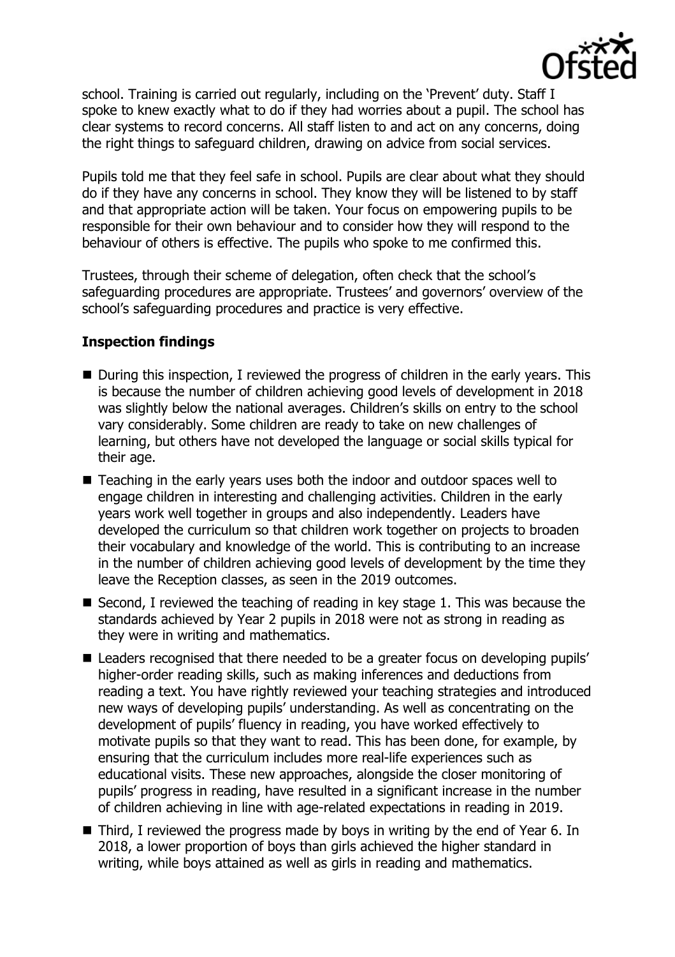

school. Training is carried out regularly, including on the 'Prevent' duty. Staff I spoke to knew exactly what to do if they had worries about a pupil. The school has clear systems to record concerns. All staff listen to and act on any concerns, doing the right things to safeguard children, drawing on advice from social services.

Pupils told me that they feel safe in school. Pupils are clear about what they should do if they have any concerns in school. They know they will be listened to by staff and that appropriate action will be taken. Your focus on empowering pupils to be responsible for their own behaviour and to consider how they will respond to the behaviour of others is effective. The pupils who spoke to me confirmed this.

Trustees, through their scheme of delegation, often check that the school's safeguarding procedures are appropriate. Trustees' and governors' overview of the school's safeguarding procedures and practice is very effective.

# **Inspection findings**

- During this inspection, I reviewed the progress of children in the early years. This is because the number of children achieving good levels of development in 2018 was slightly below the national averages. Children's skills on entry to the school vary considerably. Some children are ready to take on new challenges of learning, but others have not developed the language or social skills typical for their age.
- Teaching in the early years uses both the indoor and outdoor spaces well to engage children in interesting and challenging activities. Children in the early years work well together in groups and also independently. Leaders have developed the curriculum so that children work together on projects to broaden their vocabulary and knowledge of the world. This is contributing to an increase in the number of children achieving good levels of development by the time they leave the Reception classes, as seen in the 2019 outcomes.
- Second, I reviewed the teaching of reading in key stage 1. This was because the standards achieved by Year 2 pupils in 2018 were not as strong in reading as they were in writing and mathematics.
- Leaders recognised that there needed to be a greater focus on developing pupils' higher-order reading skills, such as making inferences and deductions from reading a text. You have rightly reviewed your teaching strategies and introduced new ways of developing pupils' understanding. As well as concentrating on the development of pupils' fluency in reading, you have worked effectively to motivate pupils so that they want to read. This has been done, for example, by ensuring that the curriculum includes more real-life experiences such as educational visits. These new approaches, alongside the closer monitoring of pupils' progress in reading, have resulted in a significant increase in the number of children achieving in line with age-related expectations in reading in 2019.
- Third, I reviewed the progress made by boys in writing by the end of Year 6. In 2018, a lower proportion of boys than girls achieved the higher standard in writing, while boys attained as well as girls in reading and mathematics.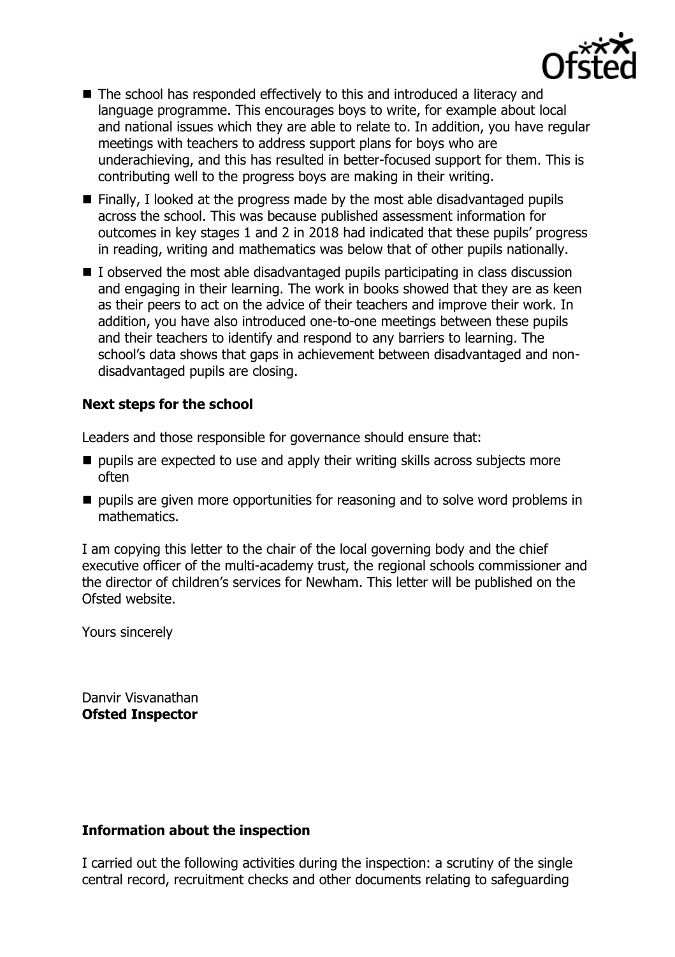

- The school has responded effectively to this and introduced a literacy and language programme. This encourages boys to write, for example about local and national issues which they are able to relate to. In addition, you have regular meetings with teachers to address support plans for boys who are underachieving, and this has resulted in better-focused support for them. This is contributing well to the progress boys are making in their writing.
- Finally, I looked at the progress made by the most able disadvantaged pupils across the school. This was because published assessment information for outcomes in key stages 1 and 2 in 2018 had indicated that these pupils' progress in reading, writing and mathematics was below that of other pupils nationally.
- I observed the most able disadvantaged pupils participating in class discussion and engaging in their learning. The work in books showed that they are as keen as their peers to act on the advice of their teachers and improve their work. In addition, you have also introduced one-to-one meetings between these pupils and their teachers to identify and respond to any barriers to learning. The school's data shows that gaps in achievement between disadvantaged and nondisadvantaged pupils are closing.

# **Next steps for the school**

Leaders and those responsible for governance should ensure that:

- $\blacksquare$  pupils are expected to use and apply their writing skills across subjects more often
- $\blacksquare$  pupils are given more opportunities for reasoning and to solve word problems in mathematics.

I am copying this letter to the chair of the local governing body and the chief executive officer of the multi-academy trust, the regional schools commissioner and the director of children's services for Newham. This letter will be published on the Ofsted website.

Yours sincerely

Danvir Visvanathan **Ofsted Inspector**

# **Information about the inspection**

I carried out the following activities during the inspection: a scrutiny of the single central record, recruitment checks and other documents relating to safeguarding